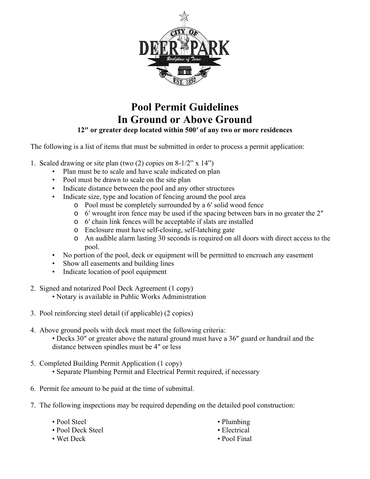

## **Pool Permit Guidelines In Ground or Above Ground**

**12″ or greater deep located within 500′ of any two or more residences** 

The following is a list of items that must be submitted in order to process a permit application:

- 1. Scaled drawing or site plan (two  $(2)$  copies on  $8-1/2$ " x  $14$ ")
	- Plan must be to scale and have scale indicated on plan
	- Pool must be drawn to scale on the site plan
	- Indicate distance between the pool and any other structures
	- Indicate size, type and location of fencing around the pool area
		- o Pool must be completely surrounded by a 6′ solid wood fence
		- o 6′ wrought iron fence may be used if the spacing between bars in no greater the 2″
		- o 6′ chain link fences will be acceptable if slats are installed
		- o Enclosure must have self-closing, self-latching gate
		- o An audible alarm lasting 30 seconds is required on all doors with direct access to the pool.
	- No portion of the pool, deck or equipment will be permitted to encroach any easement
	- Show all easements and building lines
	- Indicate location of pool equipment
- 2. Signed and notarized Pool Deck Agreement (1 copy) • Notary is available in Public Works Administration
- 3. Pool reinforcing steel detail (if applicable) (2 copies)
- 4. Above ground pools with deck must meet the following criteria: • Decks 30″ or greater above the natural ground must have a 36″ guard or handrail and the distance between spindles must be 4″ or less
- 5. Completed Building Permit Application (1 copy)
	- Separate Plumbing Permit and Electrical Permit required, if necessary
- 6. Permit fee amount to be paid at the time of submittal.
- 7. The following inspections may be required depending on the detailed pool construction:
	- Pool Steel
	- Pool Deck Steel
	- Wet Deck
- Plumbing
- Electrical
- Pool Final